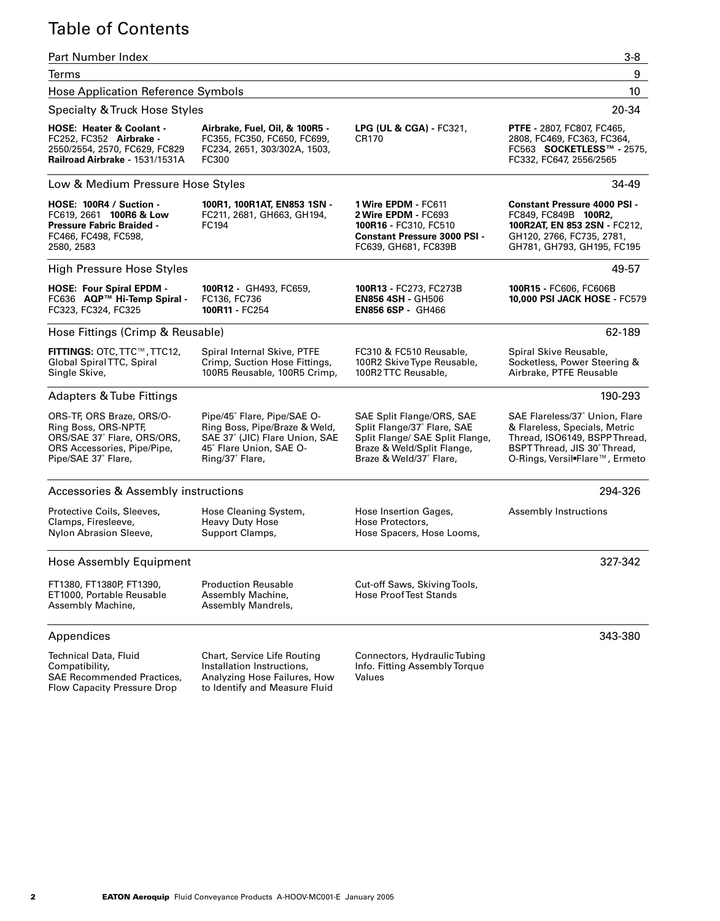## Table of Contents

#### Part Number Index 3-8 Terms 9 Hose Application Reference Symbols 10 Specialty & Truck Hose Styles 20-34 Low & Medium Pressure Hose Styles 34-49 High Pressure Hose Styles 49-57 Hose Fittings (Crimp & Reusable) 62-189 Adapters & Tube Fittings 190-293 Accessories & Assembly instructions 294-326 Hose Assembly Equipment 327-342 Appendices 343-380 **HOSE: Heater & Coolant -** FC252, FC352 **Airbrake -** 2550/2554, 2570, FC629, FC829 **Railroad Airbrake -** 1531/1531A **Airbrake, Fuel, Oil, & 100R5 -** FC355, FC350, FC650, FC699, FC234, 2651, 303/302A, 1503, FC300 **LPG (UL & CGA) -** FC321, CR170 **PTFE -** 2807, FC807, FC465, 2808, FC469, FC363, FC364, FC563 **SOCKETLESS™ -** 2575, FC332, FC647, 2556/2565 **HOSE: 100R4 / Suction -** FC619, 2661 **100R6 & Low Pressure Fabric Braided -** FC466, FC498, FC598, 2580, 2583 **100R1, 100R1AT, EN853 1SN -** FC211, 2681, GH663, GH194, FC194 **1 Wire EPDM -** FC611 **2 Wire EPDM -** FC693 **100R16 -** FC310, FC510 **Constant Pressure 3000 PSI -** FC639, GH681, FC839B **Constant Pressure 4000 PSI -** FC849, FC849B **100R2, 100R2AT, EN 853 2SN -** FC212, GH120, 2766, FC735, 2781, GH781, GH793, GH195, FC195 **HOSE: Four Spiral EPDM -** FC636 **AQP™ Hi-Temp Spiral -** FC323, FC324, FC325 **100R12 -** GH493, FC659, FC136, FC736 **100R11 -** FC254 **100R13 -** FC273, FC273B **EN856 4SH -** GH506 **EN856 6SP -** GH466 **100R15 -** FC606, FC606B **10,000 PSI JACK HOSE -** FC579 **FITTINGS:** OTC, TTC™, TTC12, Global Spiral TTC, Spiral Single Skive, Spiral Internal Skive, PTFE Crimp, Suction Hose Fittings, 100R5 Reusable, 100R5 Crimp, FC310 & FC510 Reusable, 100R2 Skive Type Reusable, 100R2 TTC Reusable, Spiral Skive Reusable, Socketless, Power Steering & Airbrake, PTFE Reusable ORS-TF, ORS Braze, ORS/O-Ring Boss, ORS-NPTF, ORS/SAE 37˚ Flare, ORS/ORS, ORS Accessories, Pipe/Pipe, Pipe/SAE 37˚ Flare, Pipe/45˚ Flare, Pipe/SAE O-Ring Boss, Pipe/Braze & Weld, SAE 37˚ (JIC) Flare Union, SAE 45˚ Flare Union, SAE O-Ring/37˚ Flare, SAE Split Flange/ORS, SAE Split Flange/37˚ Flare, SAE Split Flange/ SAE Split Flange, Braze & Weld/Split Flange, Braze & Weld/37˚ Flare, SAE Flareless/37˚ Union, Flare & Flareless, Specials, Metric Thread, ISO6149, BSPP Thread, BSPT Thread, JIS 30˚ Thread, O-Rings, Versil•Flare™, Ermeto Protective Coils, Sleeves, Clamps, Firesleeve, Nylon Abrasion Sleeve, Hose Cleaning System, Heavy Duty Hose Support Clamps, Hose Insertion Gages, Hose Protectors, Hose Spacers, Hose Looms, Assembly Instructions FT1380, FT1380P, FT1390, ET1000, Portable Reusable Assembly Machine, Production Reusable Assembly Machine, Assembly Mandrels, Cut-off Saws, Skiving Tools, Hose Proof Test Stands Chart, Service Life Routing Connectors, Hydraulic Tubing

Technical Data, Fluid Compatibility, SAE Recommended Practices, Flow Capacity Pressure Drop

Installation Instructions, Analyzing Hose Failures, How to Identify and Measure Fluid

Info. Fitting Assembly Torque Values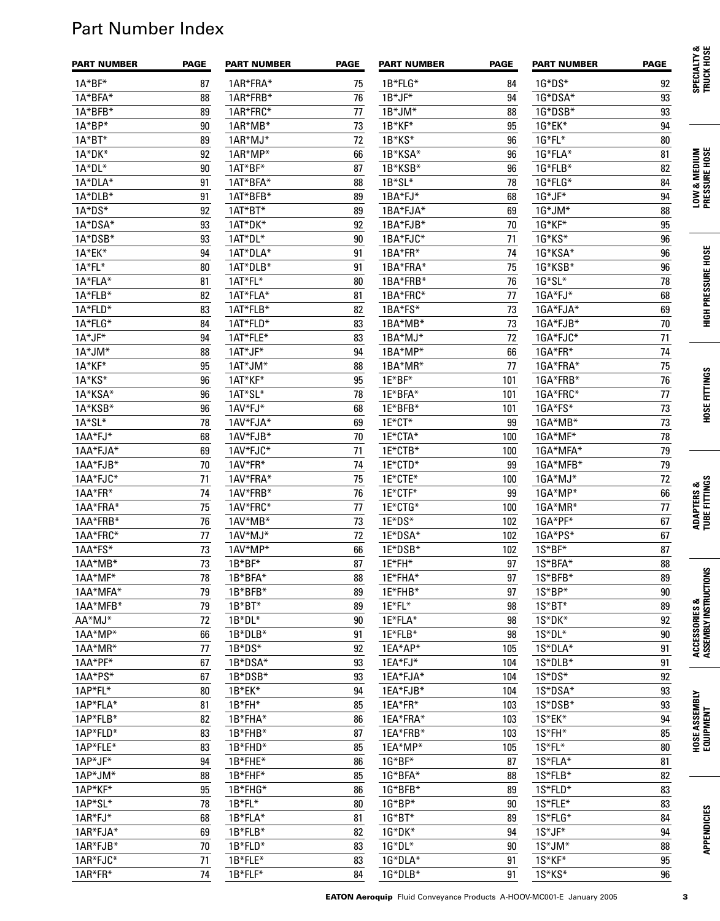# Part Number Index

| <b>PART NUMBER</b> | <b>PAGE</b> | <b>PART NUMBER</b> | <b>PAGE</b> | <b>PART NUMBER</b> | <b>PAGE</b> | <b>PART NUMBER</b> | <b>PAGE</b> | SPECIALTY &<br>TRUCK HOSE              |
|--------------------|-------------|--------------------|-------------|--------------------|-------------|--------------------|-------------|----------------------------------------|
| $1A^*BF^*$         | 87          | 1AR*FRA*           | 75          | 1B*FLG*            | 84          | $1G*DS*$           | 92          |                                        |
| 1A*BFA*            | 88          | 1AR*FRB*           | 76          | $1B^*JF^*$         | 94          | 1G*DSA*            | 93          |                                        |
| 1A*BFB*            | 89          | 1AR*FRC*           | 77          | $1B^*JM^*$         | 88          | 1G*DSB*            | 93          |                                        |
| 1A*BP*             | 90          | 1AR*MB*            | 73          | 1B*KF*             | 95          | 1G*EK*             | 94          |                                        |
| $1A*BT*$           | 89          | $1AR*MJ*$          | 72          | 1B*KS*             | 96          | $1G*FL*$           | $80\,$      |                                        |
| 1A*DK*             | 92          | $1AR*MP*$          | 66          | 1B*KSA*            | 96          | 1G*FLA*            | 81          | LOW & MEDIUM<br>PRESSURE HOSE          |
| 1A*DL*             | $90\,$      | 1AT*BF*            | 87          | 1B*KSB*            | 96          | 1G*FLB*            | 82          |                                        |
| 1A*DLA*            | 91          | 1AT*BFA*           | 88          | 1B*SL*             | 78          | 1G*FLG*            | 84          |                                        |
| 1A*DLB*            | 91          | 1AT*BFB*           | 89          | 1BA*FJ*            | 68          | $1G^*JF^*$         | 94          |                                        |
| 1A*DS*             | 92          | 1AT*BT*            | 89          | 1BA*FJA*           | 69          | $1G^*JM^*$         | 88          |                                        |
| 1A*DSA*            | 93          | 1AT*DK*            | 92          | 1BA*FJB*           | 70          | 1G*KF*             | 95          |                                        |
| 1A*DSB*            | 93          | 1AT*DL*            | 90          | 1BA*FJC*           | 71          | 1G*KS*             | 96          |                                        |
| 1A*EK*             | 94          | 1AT*DLA*           | 91          | 1BA*FR*            | 74          | 1G*KSA*            | 96          | <b>HIGH PRESSURE HOSE</b>              |
| 1A*FL*             | 80          | 1AT*DLB*           | 91          | 1BA*FRA*           | 75          | 1G*KSB*            | 96          |                                        |
| 1A*FLA*            | 81          | 1AT*FL*            | 80          | 1BA*FRB*           | 76          | 1G*SL*             | 78          |                                        |
| 1A*FLB*            | 82          | 1AT*FLA*           | 81          | 1BA*FRC*           | 77          | 1GA*FJ*            | 68          |                                        |
| 1A*FLD*            | 83          | 1AT*FLB*           | 82          | 1BA*FS*            | 73          | 1GA*FJA*           | 69          |                                        |
| 1A*FLG*            | 84          | 1AT*FLD*           | 83          | 1BA*MB*            | 73          | 1GA*FJB*           | 70          |                                        |
| 1A*JF*             | 94          | 1AT*FLE*           | 83          | 1BA*MJ*            | 72          | 1GA*FJC*           | 71          |                                        |
| $1A^*JM^*$         | 88          | 1AT*JF*            | 94          | 1BA*MP*            | 66          | 1GA*FR*            | 74          |                                        |
| 1A*KF*             | 95          | 1AT*JM*            | 88          | 1BA*MR*            | 77          | 1GA*FRA*           | 75          |                                        |
| 1A*KS*             | 96          | 1AT*KF*            | 95          | 1E*BF*             | 101         | 1GA*FRB*           | 76          |                                        |
| 1A*KSA*            | 96          | 1AT*SL*            | 78          | 1E*BFA*            | 101         | 1GA*FRC*           | 77          |                                        |
| 1A*KSB*            | 96          | 1AV*FJ*            | 68          | 1E*BFB*            | 101         | 1GA*FS*            | 73          | <b>HOSE FITTINGS</b>                   |
| 1A*SL*             | 78          | 1AV*FJA*           | 69          | 1E*CT*             | 99          | 1GA*MB*            | 73          |                                        |
| 1AA*FJ*            | 68          | 1AV*FJB*           | 70          | 1E*CTA*            | 100         | 1GA*MF*            | 78          |                                        |
| 1AA*FJA*           | 69          | 1AV*FJC*           | 71          | 1E*CTB*            | 100         | 1GA*MFA*           | 79          |                                        |
| 1AA*FJB*           | $70\,$      | 1AV*FR*            | 74          | 1E*CTD*            | 99          | 1GA*MFB*           | 79          |                                        |
| 1AA*FJC*           | 71          | 1AV*FRA*           | 75          | 1E*CTE*            | 100         | 1GA*MJ*            | 72          | ADAPTERS &<br>TUBE FITTINGS            |
| 1AA*FR*            | 74          | 1AV*FRB*           | 76          | 1E*CTF*            | 99          | 1GA*MP*            | 66          |                                        |
| 1AA*FRA*           | 75          | 1AV*FRC*           | 77          | 1E*CTG*            | 100         | 1GA*MR*            | 77          |                                        |
| 1AA*FRB*           | 76          | 1AV*MB*            | 73          | 1E*DS*             | 102         | 1GA*PF*            | 67          |                                        |
| 1AA*FRC*           | 77          | 1AV*MJ*            | 72          | 1E*DSA*            | 102         | 1GA*PS*            | 67          |                                        |
| 1AA*FS*            | 73          | 1AV*MP*            | 66          | 1E*DSB*            | 102         | 1S*BF*             | 87          |                                        |
| 1AA*MB*            | 73          | 1B*BF*             | 87          | 1E*FH*             | 97          | 1S*BFA*            | 88          |                                        |
| 1AA*MF*            | 78          | 1B*BFA*            | 88          | 1E*FHA*            | 97          | 1S*BFB*            | 89          |                                        |
| 1AA*MFA*           | 79          | 1B*BFB*            | 89          | 1E*FHB*            | 97          | 1S*BP*             | 90          |                                        |
| 1AA*MFB*           | 79          | $1B*BT*$           | 89          | 1E*FL*             | 98          | 1S*BT*             | 89          |                                        |
| AA*MJ*             | 72          | 1B*DL*             | 90          | 1E*FLA*            | 98          | 1S*DK*             | 92          |                                        |
| 1AA*MP*            | 66          | 1B*DLB*            | 91          | 1E*FLB*            | 98          | 1S*DL*             | 90          |                                        |
| 1AA*MR*            | 77          | 1B*DS*             | 92          | 1EA*AP*            | 105         | 1S*DLA*            | 91          | ACCESSORIES &<br>Assembly instructions |
| 1AA*PF*            | 67          | 1B*DSA*            | 93          | 1EA*FJ*            | 104         | 1S*DLB*            | 91          |                                        |
| 1AA*PS*            | 67          | 1B*DSB*            | 93          | 1EA*FJA*           | 104         | 1S*DS*             | 92          |                                        |
| 1AP*FL*            | 80          | 1B*EK*             | 94          | 1EA*FJB*           | 104         | 1S*DSA*            | 93          |                                        |
| 1AP*FLA*           | 81          | 1B*FH*             | 85          | 1EA*FR*            | 103         | 1S*DSB*            | 93          |                                        |
| 1AP*FLB*           | 82          | 1B*FHA*            | 86          | 1EA*FRA*           | 103         | 1S*EK*             | 94          | HOSE ASSEMBLY<br>Equipment             |
| 1AP*FLD*           | 83          | 1B*FHB*            | 87          | 1EA*FRB*           | 103         | 1S*FH*             | 85          |                                        |
| 1AP*FLE*           | 83          | 1B*FHD*            | 85          | 1EA*MP*            | 105         | 1S*FL*             | $80\,$      |                                        |
| 1AP*JF*            | 94          | 1B*FHE*            | 86          | 1G*BF*             | 87          | 1S*FLA*            | 81          |                                        |
| 1AP*JM*            | 88          | 1B*FHF*            | 85          | 1G*BFA*            | 88          | 1S*FLB*            | 82          |                                        |
| 1AP*KF*            | 95          | 1B*FHG*            | 86          | 1G*BFB*            | 89          | 1S*FLD*            | 83          |                                        |
| 1AP*SL*            | 78          | 1B*FL*             | 80          | 1G*BP*             | 90          | 1S*FLE*            | 83          |                                        |
| 1AR*FJ*            | 68          | 1B*FLA*            | 81          | 1G*BT*             | 89          | 1S*FLG*            | 84          |                                        |
| 1AR*FJA*           | 69          | 1B*FLB*            | 82          | 1G*DK*             | 94          | 1S*JF*             | 94          | <b>APPENDICIES</b>                     |
| 1AR*FJB*           | 70          | 1B*FLD*            | 83          | 1G*DL*             | 90          | 1S*JM*             | 88          |                                        |
| 1AR*FJC*           | 71          | 1B*FLE*            | 83          | 1G*DLA*            | 91          | 1S*KF*             | 95          |                                        |
| 1AR*FR*            | 74          | $1B*FLF*$          | 84          | 1G*DLB*            | 91          | 1S*KS*             | 96          |                                        |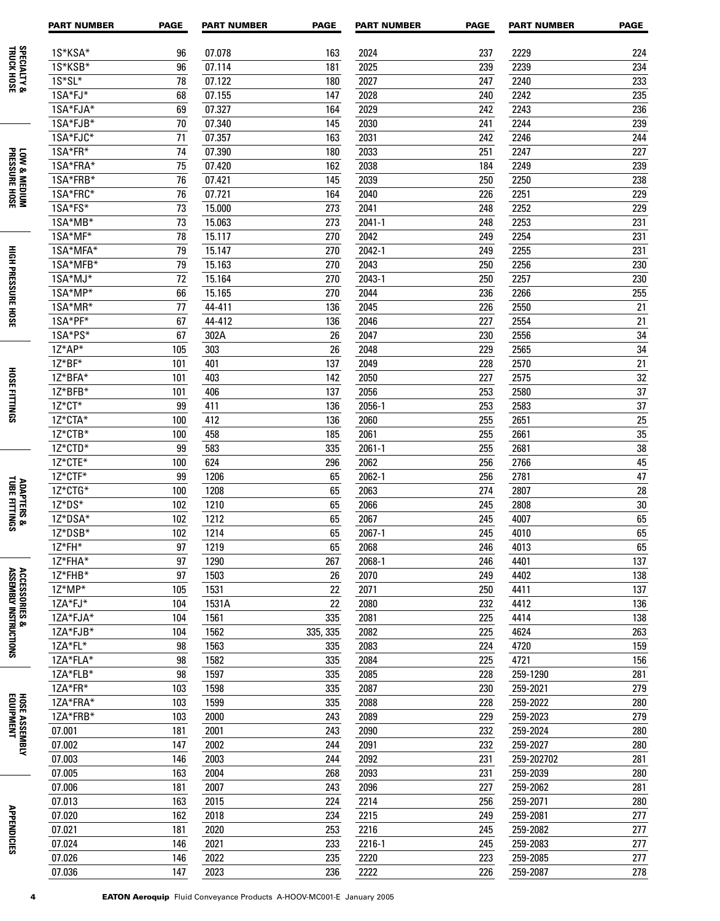|                                         | <b>PART NUMBER</b>    | <b>PAGE</b> | <b>PART NUMBER</b> | <b>PAGE</b> | <b>PART NUMBER</b> | <b>PAGE</b> | <b>PART NUMBER</b> | <b>PAGE</b> |
|-----------------------------------------|-----------------------|-------------|--------------------|-------------|--------------------|-------------|--------------------|-------------|
| <b>SPECIALTY &amp;</b><br>TRUCK HOSE    | 1S*KSA*               | 96          | 07.078             | 163         | 2024               | 237         | 2229               | 224         |
|                                         | 1S*KSB*               | 96          | 07.114             | 181         | 2025               | 239         | 2239               | 234         |
|                                         | $1S*SL*$              | 78          | 07.122             | 180         | 2027               | 247         | 2240               | 233         |
|                                         | 1SA*FJ*               | 68          | 07.155             | 147         | 2028               | 240         | 2242               | 235         |
|                                         | 1SA*FJA*              | 69          | 07.327             | 164         | 2029               | 242         | 2243               | 236         |
|                                         | 1SA*FJB*              | 70          | 07.340             | 145         | 2030               | 241         | 2244               | 239         |
|                                         | 1SA*FJC*              | 71          | 07.357             | 163         | 2031               | 242         | 2246               | 244         |
|                                         | 1SA*FR*               | 74          | 07.390             | 180         | 2033               | 251         | 2247               | 227         |
| LOW & MEDIUM<br>PRESSURE HOSE           | 1SA*FRA*              | 75          | 07.420             | 162         | 2038               | 184         | 2249               | 239         |
|                                         | 1SA*FRB*              | 76          | 07.421             | 145         | 2039               | 250         | 2250               | 238         |
|                                         | 1SA*FRC*              | 76          | 07.721             | 164         | 2040               | 226         | 2251               | 229         |
|                                         | 1SA*FS*               | 73          | 15.000             | 273         | 2041               | 248         | 2252               | 229         |
|                                         | 1SA*MB*               | 73          | 15.063             | 273         | $2041 - 1$         | 248         | 2253               | 231         |
|                                         | 1SA*MF*               | 78          | 15.117             | 270         | 2042               | 249         | 2254               | 231         |
|                                         | 1SA*MFA*              | 79          | 15.147             | 270         | 2042-1             | 249         | 2255               | 231         |
| <b>HIGH PRESSURE HOSE</b>               | 1SA*MFB*              | 79          | 15.163             | 270         | 2043               | 250         | 2256               | 230         |
|                                         | 1SA*MJ*               | 72          | 15.164             | 270         | 2043-1             | 250         | 2257               | 230         |
|                                         | 1SA*MP*               | 66          | 15.165             | 270         | 2044               | 236         | 2266               | 255         |
|                                         | 1SA*MR*               | 77          | 44-411             | 136         | 2045               | 226         | 2550               | 21          |
|                                         | 1SA*PF*               | 67          | 44-412             | 136         | 2046               | 227         | 2554               | 21          |
|                                         | 1SA*PS*               | 67          | 302A               | 26          | 2047               | 230         | 2556               | 34          |
|                                         | 1Z*AP*                | 105         | 303                | 26          | 2048               | 229         | 2565               | 34          |
|                                         | 1Z*BF*                | 101         | 401                | 137         | 2049               | 228         | 2570               | 21          |
| <b>HOSE FITTINGS</b>                    | 1Z*BFA*               | 101         | 403                | 142         | 2050               | 227         | 2575               | 32          |
|                                         | 1Z*BFB*               | 101         | 406                | 137         | 2056               | 253         | 2580               | 37          |
|                                         | 1Z*CT*                | 99          | 411                | 136         | 2056-1             | 253         | 2583               | 37          |
|                                         | 1Z*CTA*               | 100         | 412                | 136         | 2060               | 255         | 2651               | 25          |
|                                         | 1Z*CTB*               | 100         | 458                | 185         | 2061               | 255         | 2661               | 35          |
|                                         | 1Z*CTD*               | 99          | 583                | 335         | $2061 - 1$         | 255         | 2681               | 38          |
|                                         | 1Z*CTE*               | 100         | 624                | 296         | 2062               | 256         | 2766               | 45          |
|                                         | 1Z*CTF*               | 99          | 1206               | 65          | 2062-1             | 256         | 2781               | 47          |
| <b>ADAPTERS &amp;<br/>TUBE FITTINGS</b> | 1Z*CTG*<br>$1Z^*DS^*$ | 100         | 1208               | 65          | 2063               | 274         | 2807               | 28          |
|                                         | 1Z*DSA*               | 102         | 1210               | 65          | 2066               | 245         | 2808               | 30          |
|                                         | 1Z*DSB*               | 102<br>102  | 1212               | 65<br>65    | 2067<br>2067-1     | 245<br>245  | 4007<br>4010       | 65<br>65    |
|                                         | 1Z*FH*                | 97          | 1214<br>1219       |             | 2068               | 246         | 4013               |             |
|                                         | 1Z*FHA*               | 97          | 1290               | 65<br>267   | 2068-1             | 246         | 4401               | 65<br>137   |
|                                         | 1Z*FHB*               | 97          | 1503               | 26          | 2070               | 249         | 4402               | 138         |
|                                         | 1Z*MP*                | 105         | 1531               | 22          | 2071               | 250         | 4411               | 137         |
|                                         | 1ZA*FJ*               | 104         | 1531A              | 22          | 2080               | 232         | 4412               | 136         |
|                                         | 1ZA*FJA*              | 104         | 1561               | 335         | 2081               | 225         | 4414               | 138         |
| ACCESSORIES &<br>Assembly instructions  | 1ZA*FJB*              | 104         | 1562               | 335, 335    | 2082               | 225         | 4624               | 263         |
|                                         | 1ZA*FL*               | 98          | 1563               | 335         | 2083               | 224         | 4720               | 159         |
|                                         | 1ZA*FLA*              | 98          | 1582               | 335         | 2084               | 225         | 4721               | 156         |
|                                         | 1ZA*FLB*              | 98          | 1597               | 335         | 2085               | 228         | 259-1290           | 281         |
|                                         | 1ZA*FR*               | 103         | 1598               | 335         | 2087               | 230         | 259-2021           | 279         |
| HOSE ASSEMBLY<br>Equipment              | 1ZA*FRA*              | 103         | 1599               | 335         | 2088               | 228         | 259-2022           | 280         |
|                                         | 1ZA*FRB*              | 103         | 2000               | 243         | 2089               | 229         | 259-2023           | 279         |
|                                         | 07.001                | 181         | 2001               | 243         | 2090               | 232         | 259-2024           | 280         |
|                                         | 07.002                | 147         | 2002               | 244         | 2091               | 232         | 259-2027           | 280         |
|                                         | 07.003                | 146         | 2003               | 244         | 2092               | 231         | 259-202702         | 281         |
|                                         | 07.005                | 163         | 2004               | 268         | 2093               | 231         | 259-2039           | 280         |
|                                         | 07.006                | 181         | 2007               | 243         | 2096               | 227         | 259-2062           | 281         |
|                                         | 07.013                | 163         | 2015               | 224         | 2214               | 256         | 259-2071           | 280         |
|                                         | 07.020                | 162         | 2018               | 234         | 2215               | 249         | 259-2081           | 277         |
| <b>APPENDICIES</b>                      | 07.021                | 181         | 2020               | 253         | 2216               | 245         | 259-2082           | 277         |
|                                         | 07.024                | 146         | 2021               | 233         | 2216-1             | 245         | 259-2083           | 277         |
|                                         | 07.026                | 146         | 2022               | 235         | 2220               | 223         | 259-2085           | 277         |
|                                         | 07.036                | 147         | 2023               | 236         | 2222               | 226         | 259-2087           | 278         |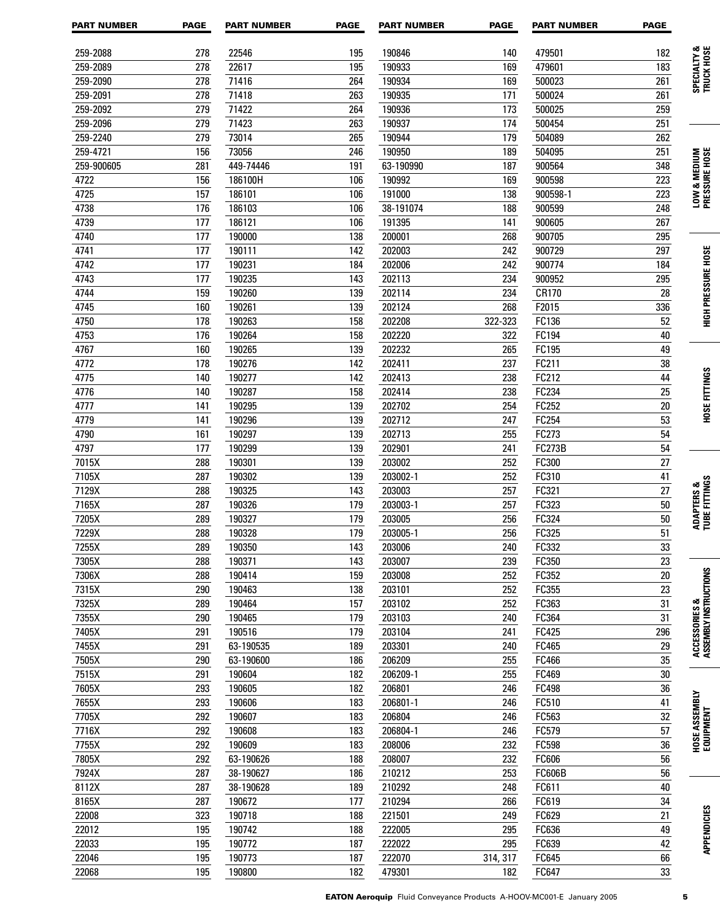| <b>PART NUMBER</b> | <b>PAGE</b> | <b>PART NUMBER</b> | <b>PAGE</b> | <b>PART NUMBER</b> | <b>PAGE</b> | <b>PART NUMBER</b> | <b>PAGE</b>     |                                        |
|--------------------|-------------|--------------------|-------------|--------------------|-------------|--------------------|-----------------|----------------------------------------|
| 259-2088           | 278         | 22546              | 195         | 190846             | 140         | 479501             | 182             |                                        |
| 259-2089           | 278         | 22617              | 195         | 190933             | 169         | 479601             | 183             | SPECIALTY &<br>TRUCK HOSE              |
| 259-2090           | 278         | 71416              | 264         | 190934             | 169         | 500023             | 261             |                                        |
| 259-2091           | 278         | 71418              | 263         | 190935             | 171         | 500024             | 261             |                                        |
| 259-2092           | 279         | 71422              | 264         | 190936             | 173         | 500025             | 259             |                                        |
| 259-2096           | 279         | 71423              | 263         | 190937             | 174         | 500454             | 251             |                                        |
| 259-2240           | 279         | 73014              | 265         | 190944             | 179         | 504089             | 262             |                                        |
| 259-4721           | 156         | 73056              | 246         | 190950             | 189         | 504095             | 251             | LOW & MEDIUM<br>Pressure Hose          |
| 259-900605         | 281         | 449-74446          | 191         | 63-190990          | 187         | 900564             | 348             |                                        |
| 4722               | 156         | 186100H            | 106         | 190992             | 169         | 900598             | 223             |                                        |
| 4725               | 157         | 186101             | 106         | 191000             | 138         | 900598-1           | 223             |                                        |
| 4738               | 176         | 186103             | 106         | 38-191074          | 188         | 900599             | 248             |                                        |
| 4739               | 177         | 186121             | 106         | 191395             | 141         | 900605             | 267             |                                        |
| 4740               | 177         | 190000             | 138         | 200001             | 268         | 900705             | 295             |                                        |
| 4741               | 177         | 190111             | 142         | 202003             | 242         | 900729             | 297             |                                        |
| 4742               | 177         | 190231             | 184         | 202006             | 242         | 900774             | 184             | <b>HIGH PRESSURE HOSE</b>              |
| 4743               | 177         | 190235             | 143         | 202113             | 234         | 900952             | 295             |                                        |
| 4744               | 159         | 190260             | 139         | 202114             | 234         | CR170              | 28              |                                        |
| 4745               | 160         | 190261             | 139         | 202124             | 268         | F2015              | 336             |                                        |
| 4750               | 178         | 190263             | 158         | 202208             | 322-323     | FC136              | 52              |                                        |
| 4753               | 176         | 190264             | 158         | 202220             | 322         | FC194              | 40              |                                        |
| 4767               | 160         | 190265             | 139         | 202232             | 265         | FC195              | 49              |                                        |
| 4772               | 178         | 190276             | 142         | 202411             | 237         | FC211              | 38              |                                        |
| 4775               | 140         | 190277             | 142         | 202413             | 238         | FC212              | 44              | <b>HOSE FITTINGS</b>                   |
| 4776               | 140         | 190287             | 158         | 202414             | 238         | FC234              | 25              |                                        |
| 4777               | 141         | 190295             | 139         | 202702             | 254         | FC252              | 20              |                                        |
| 4779               | 141         | 190296             | 139         | 202712             | 247         | FC254              | 53              |                                        |
| 4790               | 161         | 190297             | 139         | 202713             | 255         | FC273              | 54              |                                        |
| 4797               | 177         | 190299             | 139         | 202901             | 241         | <b>FC273B</b>      | 54              |                                        |
| 7015X              | 288         | 190301             | 139         | 203002             | 252         | FC300              | 27              |                                        |
| 7105X              | 287         | 190302             | 139         | 203002-1           | 252         | FC310              | 41              |                                        |
| 7129X              | 288         | 190325             | 143         | 203003             | 257         | FC321              | 27              | ADAPTERS &<br>Tube fittings            |
| 7165X              | 287         | 190326             | 179         | 203003-1           | 257         | FC323              | 50              |                                        |
| 7205X              | 289         | 190327             | 179         | 203005             | 256         | FC324              | 50              |                                        |
| 7229X              | 288         | 190328             | 179         | 203005-1           | 256         | FC325              | $\overline{51}$ |                                        |
| 7255X              | 289         | 190350             | 143         | 203006             | 240         | FC332              | $\overline{33}$ |                                        |
| 7305X              | 288         | 190371             | 143         | 203007             | 239         | FC350              | 23              |                                        |
| 7306X              | 288         | 190414             | 159         | 203008             | 252         | FC352              | $20\,$          |                                        |
| 7315X              | 290         | 190463             | 138         | 203101             | 252         | FC355              | 23              |                                        |
| 7325X              | 289         | 190464             | 157         | 203102             | 252         | FC363              | $\overline{31}$ |                                        |
| 7355X              | 290         | 190465             | 179         | 203103             | 240         | FC364              | 31              |                                        |
| 7405X              | 291         | 190516             | 179         | 203104             | 241         | FC425              | 296             | ACCESSORIES &<br>Assembly instructions |
| 7455X              | 291         | 63-190535          | 189         | 203301             | 240         | FC465              | 29              |                                        |
| 7505X              | 290         | 63-190600          | 186         | 206209             | 255         | FC466              | $\overline{35}$ |                                        |
| 7515X              | 291         | 190604             | 182         | 206209-1           | 255         | FC469              | $\overline{30}$ |                                        |
| 7605X              | 293         | 190605             | 182         | 206801             | 246         | FC498              | $\overline{36}$ |                                        |
| 7655X              | 293         | 190606             | 183         | 206801-1           | 246         | FC510              | 41              |                                        |
| 7705X              | 292         | 190607             | 183         | 206804             | 246         | FC563              | $\overline{32}$ |                                        |
| 7716X              | 292         | 190608             | 183         | 206804-1           | 246         | FC579              | $\overline{57}$ |                                        |
| 7755X              | 292         | 190609             | 183         | 208006             | 232         | FC598              | $\overline{36}$ | HOSE ASSEMBLY<br>Equipment             |
| 7805X              | 292         | 63-190626          | 188         | 208007             | 232         | FC606              | $\overline{56}$ |                                        |
| 7924X              | 287         | 38-190627          | 186         | 210212             | 253         | <b>FC606B</b>      | 56              |                                        |
| 8112X              | 287         | 38-190628          | 189         | 210292             | 248         | FC611              | $40\,$          |                                        |
| 8165X              | 287         | 190672             | 177         | 210294             | 266         | FC619              | $\overline{34}$ |                                        |
| 22008              | 323         | 190718             | 188         | 221501             | 249         | FC629              | $21\,$          |                                        |
| 22012              | 195         | 190742             | 188         | 222005             | 295         | FC636              | 49              |                                        |
| 22033              | 195         | 190772             | 187         | 222022             | 295         | FC639              | 42              | <b>APPENDICIES</b>                     |
| 22046              | 195         | 190773             | 187         | 222070             | 314, 317    | FC645              | 66              |                                        |
| 22068              | 195         | 190800             | 182         | 479301             | 182         | FC647              | $\overline{33}$ |                                        |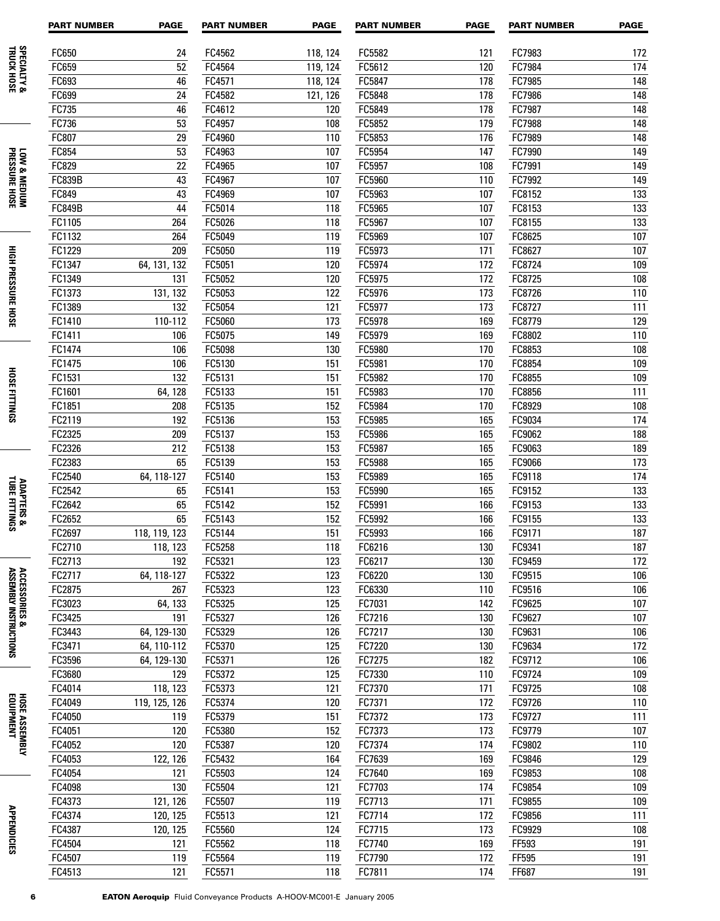|                                         | <b>PART NUMBER</b> | <b>PAGE</b>                | <b>PART NUMBER</b> | <b>PAGE</b> | <b>PART NUMBER</b> | <b>PAGE</b>     | <b>PART NUMBER</b> | <b>PAGE</b>      |
|-----------------------------------------|--------------------|----------------------------|--------------------|-------------|--------------------|-----------------|--------------------|------------------|
|                                         | FC650              | 24                         | FC4562             | 118, 124    | FC5582             | 121             | FC7983             | 172              |
|                                         | FC659              | 52                         | FC4564             | 119, 124    | FC5612             | 120             | FC7984             | 174              |
| <b>SPECIALTY &amp;</b><br>TRUCK HOSE    | FC693              | 46                         | FC4571             | 118, 124    | FC5847             | 178             | FC7985             | 148              |
|                                         | FC699              | 24                         | FC4582             | 121, 126    | FC5848             | 178             | FC7986             | 148              |
|                                         | FC735              | 46                         | FC4612             | 120         | FC5849             | 178             | FC7987             | 148              |
|                                         | FC736              | 53                         | FC4957             | 108         | FC5852             | 179             | FC7988             | 148              |
|                                         | FC807              | 29                         | FC4960             | 110         | FC5853             | 176             | FC7989             | 148              |
|                                         | FC854              | 53                         | FC4963             | 107         | FC5954             | 147             | FC7990             | 149              |
| LOW & MEDIUM<br>PRESSURE HOSE           | FC829              | 22                         | FC4965             | 107         | FC5957             | 108             | FC7991             | 149              |
|                                         | <b>FC839B</b>      | 43                         | FC4967             | 107         | FC5960             | 110             | FC7992             | 149              |
|                                         | FC849              | 43                         | FC4969             | 107         | FC5963             | 107             | FC8152             | 133              |
|                                         | <b>FC849B</b>      | 44                         | FC5014             | 118         | FC5965             | 107             | FC8153             | 133              |
|                                         | FC1105             | 264                        | FC5026             | 118         | FC5967             | 107             | FC8155             | 133              |
|                                         | FC1132             | 264                        | FC5049             | 119         | FC5969             | 107             | FC8625             | 107              |
|                                         | FC1229             | 209                        | FC5050             | 119         | FC5973             | 171             | FC8627             | 107              |
|                                         | FC1347             | 64, 131, 132               | FC5051             | 120         | FC5974             | 172             | FC8724             | 109              |
|                                         | FC1349             | 131                        | FC5052             | 120         | FC5975             | 172             | FC8725             | 108              |
|                                         | FC1373             | 131, 132                   | FC5053             | 122         | FC5976             | 173             | FC8726             | 110              |
|                                         | FC1389             | 132                        | FC5054             | 121         | FC5977             | 173             | FC8727             | 111              |
| <b>HIGH PRESSURE HOSE</b>               | FC1410             | 110-112                    | FC5060             | 173         | FC5978             | 169             | FC8779             | 129              |
|                                         | FC1411             | 106                        | FC5075             | 149         | FC5979             | 169             | FC8802             | 110              |
|                                         | FC1474             | 106                        | FC5098             | 130         | FC5980             | 170             | FC8853             | 108              |
|                                         | FC1475             | 106                        | FC5130             | 151         | FC5981             | 170             | FC8854             | 109              |
|                                         | FC1531             | 132                        | FC5131             | 151         | FC5982             | 170             | FC8855             | 109              |
| <b>HOSE FITTINGS</b>                    | FC1601             | 64, 128                    | FC5133             | 151         | FC5983             | 170             | FC8856             | 111              |
|                                         | FC1851             | 208                        | FC5135             | 152         | FC5984             | 170             | FC8929             | 108              |
|                                         | FC2119             | 192                        | FC5136             | 153         | FC5985             | 165             | FC9034             | 174              |
|                                         | FC2325             | 209                        | FC5137             | 153         | FC5986             | 165             | FC9062             | 188              |
|                                         | FC2326             | 212                        | FC5138             | 153         | FC5987             | 165             | FC9063             | 189              |
|                                         | FC2383             | 65                         | FC5139             | 153         | FC5988             | 165             | FC9066             | 173              |
|                                         | FC2540             | 64, 118-127                | FC5140             | 153         | FC5989             | 165             | FC9118             | 174              |
| <b>ADAPTERS &amp;<br/>TUBE FITTINGS</b> | FC2542             | 65                         | FC5141             | 153         | FC5990             | 165             | FC9152             | 133              |
|                                         | FC2642             | 65                         | FC5142             | 152         | FC5991             | 166             | FC9153             | 133              |
|                                         | FC2652             | 65                         | FC5143             | 152         | FC5992             | 166             | FC9155             | 133              |
|                                         | FC2697             | 118, 119, 123              | FC5144             | 151         | FC5993             | 166             | FC9171             | 187              |
|                                         | FC2710             | 118, 123                   | FC5258             | 118         | FC6216             | $\frac{1}{130}$ | FC9341             | $\overline{187}$ |
|                                         | FC2713             | 192                        | FC5321             | 123         | FC6217             | 130             | FC9459             | 172              |
| ACCESSORIES &<br>Assembly instructions  | FC2717             | 64, 118-127                | FC5322             | 123         | FC6220             | 130             | FC9515             | 106              |
|                                         | FC2875             | 267                        | FC5323             | 123         | FC6330             | 110             | FC9516             | 106              |
|                                         | FC3023             | 64, 133                    | FC5325             | 125         | FC7031             | 142             | FC9625             | 107              |
|                                         | FC3425             | 191                        | FC5327             | 126         | FC7216             | 130             | FC9627             | 107              |
|                                         | FC3443<br>FC3471   | 64, 129-130<br>64, 110-112 | FC5329<br>FC5370   | 126<br>125  | FC7217<br>FC7220   | 130<br>130      | FC9631             | 106<br>172       |
|                                         | FC3596             | 64, 129-130                | FC5371             | 126         | FC7275             | 182             | FC9634<br>FC9712   | 106              |
|                                         | FC3680             | 129                        | FC5372             | 125         | FC7330             | 110             | FC9724             | 109              |
|                                         | FC4014             | 118, 123                   | FC5373             | 121         | FC7370             | 171             | FC9725             | 108              |
|                                         | FC4049             | 119, 125, 126              | FC5374             | 120         | FC7371             | 172             | FC9726             | 110              |
|                                         | FC4050             | 119                        | FC5379             | 151         | FC7372             | 173             | FC9727             | 111              |
| HOSE ASSEMBLY<br>Equipment              | FC4051             | 120                        | FC5380             | 152         | FC7373             | 173             | FC9779             | 107              |
|                                         | FC4052             | 120                        | FC5387             | 120         | FC7374             | 174             | FC9802             | 110              |
|                                         | FC4053             | 122, 126                   | FC5432             | 164         | FC7639             | 169             | FC9846             | 129              |
|                                         | FC4054             | 121                        | FC5503             | 124         | FC7640             | 169             | FC9853             | 108              |
|                                         | FC4098             | 130                        | FC5504             | 121         | FC7703             | 174             | FC9854             | 109              |
|                                         | FC4373             | 121, 126                   | FC5507             | 119         | FC7713             | 171             | FC9855             | 109              |
|                                         | FC4374             | 120, 125                   | FC5513             | 121         | FC7714             | 172             | FC9856             | 111              |
|                                         | FC4387             | 120, 125                   | FC5560             | 124         | FC7715             | 173             | FC9929             | 108              |
| <b>APPENDICIES</b>                      | FC4504             | 121                        | FC5562             | 118         | FC7740             | 169             | FF593              | 191              |
|                                         | FC4507             | 119                        | FC5564             | 119         | FC7790             | 172             | FF595              | 191              |
|                                         | FC4513             | 121                        | FC5571             | 118         | FC7811             | 174             | FF687              | 191              |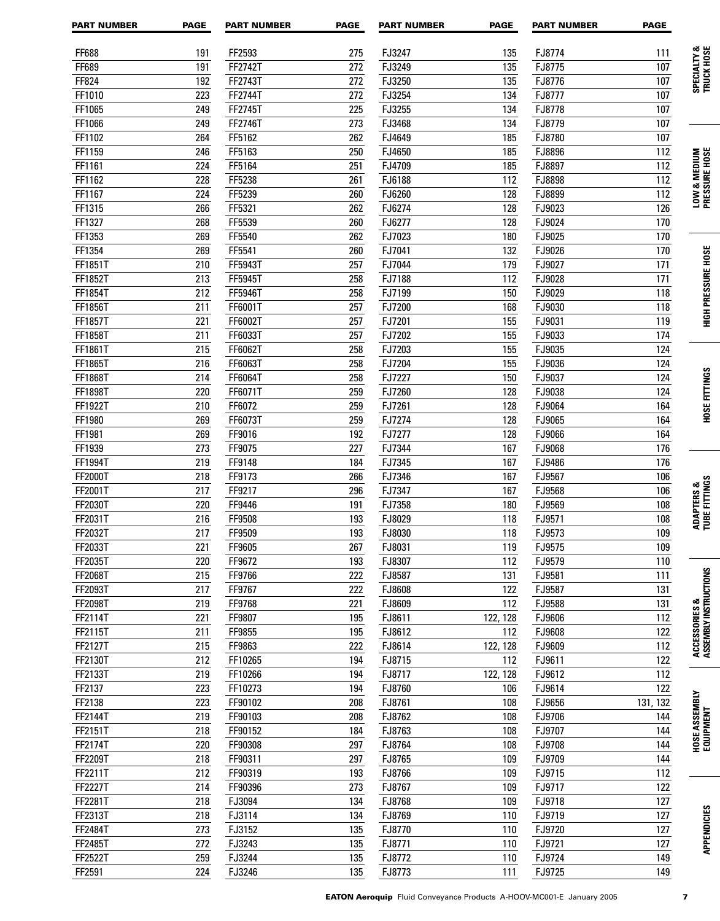| <b>PART NUMBER</b> | <b>PAGE</b> | <b>PART NUMBER</b> | <b>PAGE</b> | <b>PART NUMBER</b> | <b>PAGE</b> | <b>PART NUMBER</b> | <b>PAGE</b> |                                        |
|--------------------|-------------|--------------------|-------------|--------------------|-------------|--------------------|-------------|----------------------------------------|
| FF688              | 191         | FF2593             | 275         | FJ3247             | 135         | FJ8774             | 111         |                                        |
| FF689              | 191         | FF2742T            | 272         | FJ3249             | 135         | FJ8775             | 107         | SPECIALTY &<br>TRUCK HOSE              |
| FF824              | 192         | FF2743T            | 272         | FJ3250             | 135         | FJ8776             | 107         |                                        |
| FF1010             | 223         | FF2744T            | 272         | FJ3254             | 134         | FJ8777             | 107         |                                        |
| FF1065             | 249         | FF2745T            | 225         | FJ3255             | 134         | FJ8778             | 107         |                                        |
| FF1066             | 249         | FF2746T            | 273         | FJ3468             | 134         | FJ8779             | 107         |                                        |
| FF1102             | 264         | FF5162             | 262         | FJ4649             | 185         | FJ8780             | 107         |                                        |
| FF1159             | 246         | FF5163             | 250         | FJ4650             | 185         | FJ8896             | 112         |                                        |
| FF1161             | 224         | FF5164             | 251         | FJ4709             | 185         | FJ8897             | 112         | LOW & MEDIUM<br>Pressure Hose          |
| FF1162             | 228         | FF5238             | 261         | FJ6188             | 112         | FJ8898             | 112         |                                        |
| FF1167             | 224         | FF5239             | 260         | FJ6260             | 128         | FJ8899             | 112         |                                        |
| FF1315             | 266         | FF5321             | 262         | FJ6274             | 128         | FJ9023             | 126         |                                        |
| FF1327             | 268         | FF5539             | 260         | FJ6277             | 128         | FJ9024             | 170         |                                        |
| FF1353             | 269         | FF5540             | 262         | FJ7023             | 180         | FJ9025             | 170         |                                        |
| FF1354             | 269         | FF5541             | 260         | FJ7041             | 132         | FJ9026             | 170         |                                        |
| FF1851T            | 210         | FF5943T            | 257         | FJ7044             | 179         | FJ9027             | 171         | <b>HIGH PRESSURE HOSE</b>              |
| FF1852T            | 213         | FF5945T            | 258         | FJ7188             | 112         | FJ9028             | 171         |                                        |
| FF1854T            | 212         | FF5946T            | 258         | FJ7199             | 150         | FJ9029             | 118         |                                        |
| FF1856T            | 211         | FF6001T            | 257         | FJ7200             | 168         | FJ9030             | 118         |                                        |
| FF1857T            | 221         | FF6002T            | 257         | FJ7201             | 155         | FJ9031             | 119         |                                        |
| FF1858T            | 211         | FF6033T            | 257         | FJ7202             | 155         | FJ9033             | 174         |                                        |
| FF1861T            | 215         | FF6062T            | 258         | FJ7203             | 155         | FJ9035             | 124         |                                        |
| FF1865T            | 216         | FF6063T            | 258         | FJ7204             | 155         | FJ9036             | 124         |                                        |
| FF1868T            | 214         | FF6064T            | 258         | FJ7227             | 150         | FJ9037             | 124         | <b>HOSE FITTINGS</b>                   |
| FF1898T            | 220         | FF6071T            | 259         | FJ7260             | 128         | FJ9038             | 124         |                                        |
| FF1922T            | 210         | FF6072             | 259         | FJ7261             | 128         | FJ9064             | 164         |                                        |
| FF1980             | 269         | FF6073T            | 259         | FJ7274             | 128         | FJ9065             | 164         |                                        |
| FF1981             | 269         | FF9016             | 192         | FJ7277             | 128         | FJ9066             | 164         |                                        |
| FF1939             | 273         | FF9075             | 227         | FJ7344             | 167         | FJ9068             | 176         |                                        |
| FF1994T            | 219         | FF9148             | 184         | FJ7345             | 167         | FJ9486             | 176         |                                        |
| FF2000T            | 218         | FF9173             | 266         | FJ7346             | 167         | FJ9567             | 106         | ADAPTERS &<br>Tube fittings            |
| FF2001T            | 217         | FF9217             | 296         | FJ7347             | 167         | FJ9568             | 106         |                                        |
| FF2030T            | 220         | FF9446             | 191         | FJ7358             | 180         | FJ9569             | 108         |                                        |
| FF2031T            | 216         | FF9508             | 193         | FJ8029             | 118         | FJ9571             | 108         |                                        |
| FF2032T            | 217         | FF9509             | 193         | FJ8030             | 118         | FJ9573             | 109         |                                        |
| FF2033T            | 221         | FF9605             | 267         | FJ8031             | 119         | FJ9575             | 109         |                                        |
| FF2035T            | 220         | FF9672             | 193         | FJ8307             | 112         | FJ9579             | 110         |                                        |
| <b>FF2068T</b>     | 215         | FF9766             | 222         | FJ8587             | 131         | FJ9581             | 111         |                                        |
| FF2093T            | 217         | FF9767             | 222         | FJ8608             | 122         | FJ9587             | 131         |                                        |
| FF2098T            | 219         | FF9768             | 221         | FJ8609             | 112         | FJ9588             | 131         | ACCESSORIES &<br>Assembly instructions |
| FF2114T            | 221         | FF9807             | 195         | FJ8611             | 122, 128    | FJ9606             | 112         |                                        |
| FF2115T            | 211         | FF9855             | 195         | FJ8612             | 112         | FJ9608             | 122         |                                        |
| FF2127T            | 215         | FF9863             | 222         | FJ8614             | 122, 128    | FJ9609             | 112         |                                        |
| FF2130T            | 212         | FF10265            | 194         | FJ8715             | 112         | FJ9611             | 122         |                                        |
| FF2133T            | 219         | FF10266            | 194         | FJ8717             | 122, 128    | FJ9612             | 112         |                                        |
| FF2137             | 223         | FF10273            | 194         | FJ8760             | 106         | FJ9614             | 122         | HOSE ASSEMBLY<br>Equipment             |
| FF2138             | 223         | FF90102            | 208<br>208  | FJ8761             | 108         | FJ9656             | 131, 132    |                                        |
| FF2144T            | 219<br>218  | FF90103            | 184         | FJ8762             | 108         | FJ9706<br>FJ9707   | 144         |                                        |
| FF2151T<br>FF2174T | 220         | FF90152<br>FF90308 | 297         | FJ8763<br>FJ8764   | 108<br>108  | FJ9708             | 144<br>144  |                                        |
|                    |             |                    | 297         |                    |             |                    |             |                                        |
| FF2209T<br>FF2211T | 218<br>212  | FF90311<br>FF90319 | 193         | FJ8765<br>FJ8766   | 109<br>109  | FJ9709<br>FJ9715   | 144<br>112  |                                        |
| <b>FF2227T</b>     | 214         | FF90396            | 273         | FJ8767             | 109         | FJ9717             | 122         |                                        |
| FF2281T            | 218         | FJ3094             | 134         | FJ8768             | 109         | FJ9718             | 127         |                                        |
| FF2313T            | 218         | FJ3114             | 134         | FJ8769             | 110         | FJ9719             | 127         |                                        |
| FF2484T            | 273         | FJ3152             | 135         | FJ8770             | 110         | FJ9720             | 127         | <b>APPENDICIES</b>                     |
| <b>FF2485T</b>     | 272         | FJ3243             | 135         | FJ8771             | 110         | FJ9721             | 127         |                                        |
| FF2522T            | 259         | FJ3244             | 135         | FJ8772             | 110         | FJ9724             | 149         |                                        |
| FF2591             | 224         | FJ3246             | 135         | FJ8773             | 111         | FJ9725             | 149         |                                        |
|                    |             |                    |             |                    |             |                    |             |                                        |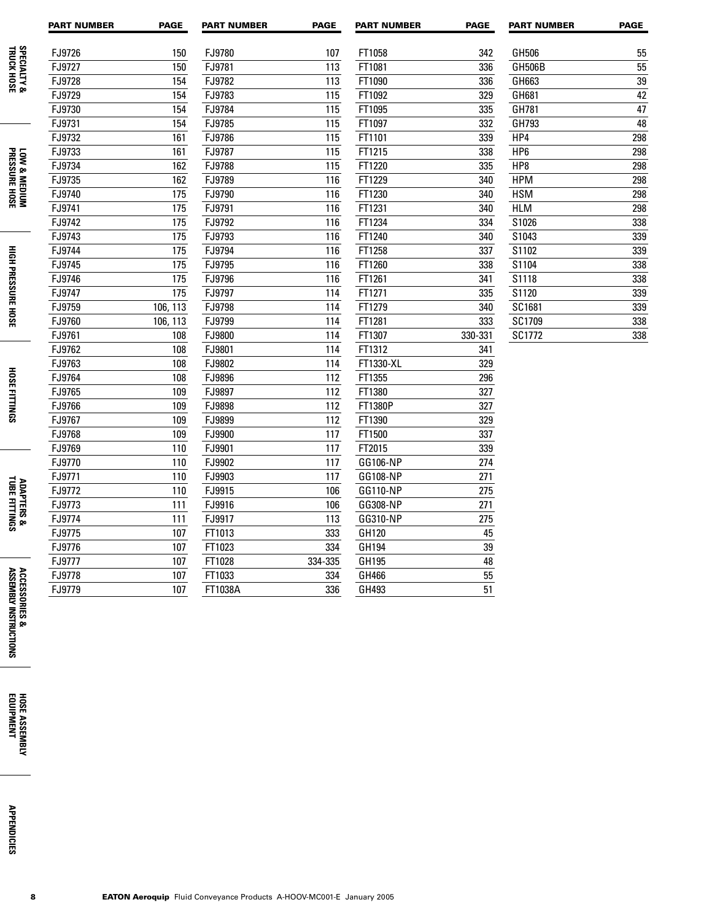|                                         | <b>PART NUMBER</b> | <b>PAGE</b> | <b>PART NUMBER</b> | <b>PAGE</b> | <b>PART NUMBER</b> | <b>PAGE</b> | <b>PART NUMBER</b> | <b>PAGE</b> |
|-----------------------------------------|--------------------|-------------|--------------------|-------------|--------------------|-------------|--------------------|-------------|
| <b>SPECIALTY &amp;</b><br>TRUCK HOSE    | FJ9726             | 150         | FJ9780             | 107         | FT1058             | 342         | GH506              | 55          |
|                                         | FJ9727             | 150         | FJ9781             | 113         | FT1081             | 336         | GH506B             | 55          |
|                                         | FJ9728             | 154         | FJ9782             | 113         | FT1090             | 336         | GH663              | 39          |
|                                         | FJ9729             | 154         | FJ9783             | 115         | FT1092             | 329         | GH681              | 42          |
|                                         | FJ9730             | 154         | FJ9784             | 115         | FT1095             | 335         | GH781              | 47          |
|                                         | FJ9731             | 154         | FJ9785             | 115         | FT1097             | 332         | GH793              | 48          |
|                                         | FJ9732             | 161         | FJ9786             | 115         | FT1101             | 339         | HP4                | 298         |
|                                         | FJ9733             | 161         | FJ9787             | 115         | FT1215             | 338         | HP <sub>6</sub>    | 298         |
| LOW & MEDIUM<br>PRESSURE HOSE           | FJ9734             | 162         | FJ9788             | 115         | FT1220             | 335         | HP8                | 298         |
|                                         | FJ9735             | 162         | FJ9789             | 116         | FT1229             | 340         | <b>HPM</b>         | 298         |
|                                         | FJ9740             | 175         | FJ9790             | 116         | FT1230             | 340         | <b>HSM</b>         | 298         |
|                                         | FJ9741             | 175         | FJ9791             | 116         | FT1231             | 340         | <b>HLM</b>         | 298         |
|                                         | FJ9742             | 175         | FJ9792             | 116         | FT1234             | 334         | S1026              | 338         |
|                                         | FJ9743             | 175         | FJ9793             | 116         | FT1240             | 340         | S1043              | 339         |
|                                         | FJ9744             | 175         | FJ9794             | 116         | FT1258             | 337         | S1102              | 339         |
|                                         | FJ9745             | 175         | FJ9795             | 116         | FT1260             | 338         | S1104              | 338         |
|                                         | FJ9746             | 175         | FJ9796             | 116         | FT1261             | 341         | S1118              | 338         |
| <b>HIGH PRESSURE HOSE</b>               | FJ9747             | 175         | FJ9797             | 114         | FT1271             | 335         | S1120              | 339         |
|                                         | FJ9759             | 106, 113    | FJ9798             | 114         | FT1279             | 340         | SC1681             | 339         |
|                                         | FJ9760             | 106, 113    | FJ9799             | 114         | FT1281             | 333         | SC1709             | 338         |
|                                         | FJ9761             | 108         | FJ9800             | 114         | FT1307             | 330-331     | SC1772             | 338         |
|                                         | FJ9762             | 108         | FJ9801             | 114         | FT1312             | 341         |                    |             |
|                                         | FJ9763             | 108         | FJ9802             | 114         | FT1330-XL          | 329         |                    |             |
| HOSE FITTINGS                           | FJ9764             | 108         | FJ9896             | 112         | FT1355             | 296         |                    |             |
|                                         | FJ9765             | 109         | FJ9897             | 112         | FT1380             | 327         |                    |             |
|                                         | FJ9766             | 109         | FJ9898             | 112         | FT1380P            | 327         |                    |             |
|                                         | FJ9767             | 109         | FJ9899             | 112         | FT1390             | 329         |                    |             |
|                                         | FJ9768             | 109         | FJ9900             | 117         | FT1500             | 337         |                    |             |
|                                         | FJ9769             | 110         | FJ9901             | 117         | FT2015             | 339         |                    |             |
|                                         | FJ9770             | 110         | FJ9902             | 117         | GG106-NP           | 274         |                    |             |
|                                         | FJ9771             | 110         | FJ9903             | 117         | GG108-NP           | 271         |                    |             |
| <b>ADAPTERS &amp;<br/>TUBE FITTINGS</b> | FJ9772             | 110         | FJ9915             | 106         | GG110-NP           | 275         |                    |             |
|                                         | FJ9773             | 111         | FJ9916             | 106         | GG308-NP           | 271         |                    |             |
|                                         | FJ9774             | 111         | FJ9917             | 113         | GG310-NP           | 275         |                    |             |
|                                         | FJ9775             | 107         | FT1013             | 333         | GH120              | 45          |                    |             |
|                                         | FJ9776             | 107         | FT1023             | 334         | GH194              | 39          |                    |             |
|                                         | FJ9777             | 107         | FT1028             | 334-335     | GH195              | 48          |                    |             |
|                                         | FJ9778             | 107         | FT1033             | 334         | GH466              | 55          |                    |             |
|                                         | FJ9779             | 107         | FT1038A            | 336         | GH493              | 51          |                    |             |
| ACCESSORIES &<br>Assembly instri        |                    |             |                    |             |                    |             |                    |             |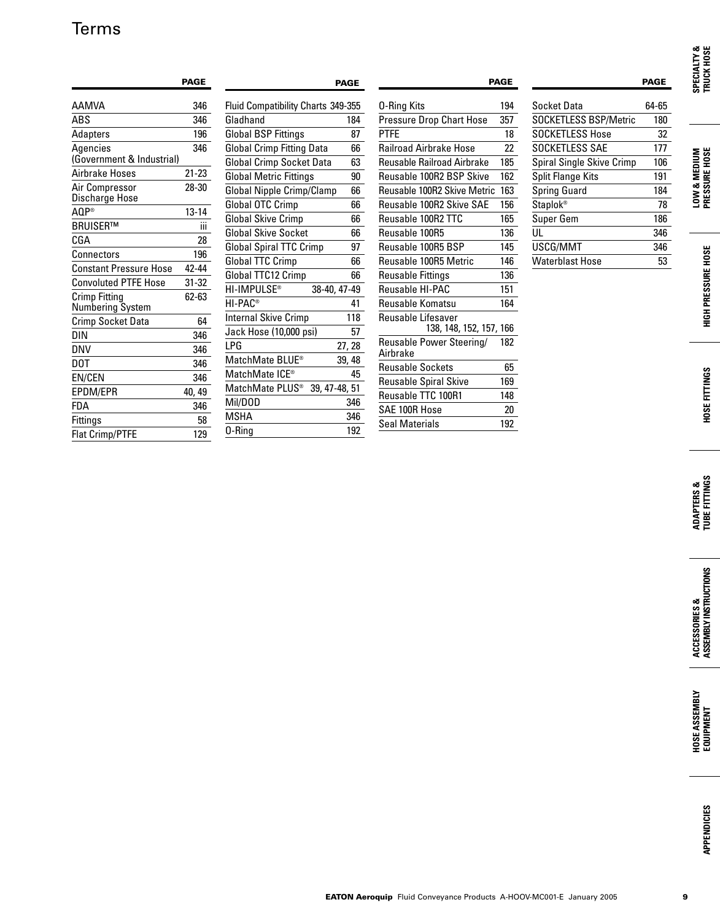# Terms

|                                   | <b>PAGE</b> |                                           | <b>PAGE</b>  |     |                                      | <b>PAGE</b> |                              | <b>PAGE</b> |
|-----------------------------------|-------------|-------------------------------------------|--------------|-----|--------------------------------------|-------------|------------------------------|-------------|
| <b>AAMVA</b>                      | 346         | Fluid Compatibility Charts 349-355        |              |     | 0-Ring Kits                          | 194         | <b>Socket Data</b>           | 64-65       |
| ABS                               | 346         | Gladhand                                  |              | 184 | Pressure Drop Chart Hose             | 357         | <b>SOCKETLESS BSP/Metric</b> | 180         |
| Adapters                          | 196         | <b>Global BSP Fittings</b>                |              | 87  | <b>PTFE</b>                          | 18          | <b>SOCKETLESS Hose</b>       | 32          |
| Agencies                          | 346         | <b>Global Crimp Fitting Data</b>          |              | 66  | <b>Railroad Airbrake Hose</b>        | 22          | SOCKETLESS SAE               | 177         |
| (Government & Industrial)         |             | Global Crimp Socket Data                  |              | 63  | <b>Reusable Railroad Airbrake</b>    | 185         | Spiral Single Skive Crimp    | 106         |
| Airbrake Hoses                    | $21 - 23$   | <b>Global Metric Fittings</b>             |              | 90  | Reusable 100R2 BSP Skive             | 162         | Split Flange Kits            | 191         |
| Air Compressor<br>Discharge Hose  | $28 - 30$   | Global Nipple Crimp/Clamp                 |              | 66  | Reusable 100R2 Skive Metric          | 163         | Spring Guard                 | 184         |
| AQP®                              | $13 - 14$   | Global OTC Crimp                          |              | 66  | Reusable 100R2 Skive SAE             | 156         | <b>Staplok®</b>              | 78          |
| BRUISER™                          |             | <b>Global Skive Crimp</b>                 |              | 66  | Reusable 100R2 TTC                   | 165         | Super Gem                    | 186         |
| CGA                               | Ш<br>28     | <b>Global Skive Socket</b>                |              | 66  | Reusable 100R5                       | 136         | UL                           | 346         |
| Connectors                        | 196         | <b>Global Spiral TTC Crimp</b>            |              | 97  | Reusable 100R5 BSP                   | 145         | USCG/MMT                     | 346         |
| <b>Constant Pressure Hose</b>     | 42-44       | Global TTC Crimp                          |              | 66  | Reusable 100R5 Metric                | 146         | <b>Waterblast Hose</b>       | 53          |
| <b>Convoluted PTFE Hose</b>       | $31 - 32$   | Global TTC12 Crimp                        |              | 66  | <b>Reusable Fittings</b>             | 136         |                              |             |
|                                   |             | HI-IMPULSE®                               | 38-40, 47-49 |     | Reusable HI-PAC                      | 151         |                              |             |
| Crimp Fitting<br>Numbering System | 62-63       | HI-PAC <sup>®</sup>                       |              | 41  | Reusable Komatsu                     | 164         |                              |             |
| Crimp Socket Data                 | 64          | <b>Internal Skive Crimp</b>               |              | 118 | Reusable Lifesaver                   |             |                              |             |
| DIN                               | 346         | Jack Hose (10,000 psi)                    |              | 57  | 138, 148, 152, 157, 166              |             |                              |             |
| DNV                               | 346         | LPG                                       | 27, 28       |     | Reusable Power Steering/<br>Airbrake | 182         |                              |             |
| DOT                               | 346         | MatchMate BLUE®                           | 39, 48       |     | <b>Reusable Sockets</b>              | 65          |                              |             |
| EN/CEN                            | 346         | MatchMate ICE <sup>®</sup>                |              | 45  | <b>Reusable Spiral Skive</b>         | 169         |                              |             |
| EPDM/EPR                          | 40, 49      | MatchMate PLUS <sup>®</sup> 39, 47-48, 51 |              |     | Reusable TTC 100R1                   | 148         |                              |             |
| <b>FDA</b>                        | 346         | Mil/DOD                                   |              | 346 | SAE 100R Hose                        | 20          |                              |             |
| Fittings                          | 58          | <b>MSHA</b>                               |              | 346 | Seal Materials                       | 192         |                              |             |
| <b>Flat Crimp/PTFE</b>            | 129         | 0-Ring                                    |              | 192 |                                      |             |                              |             |